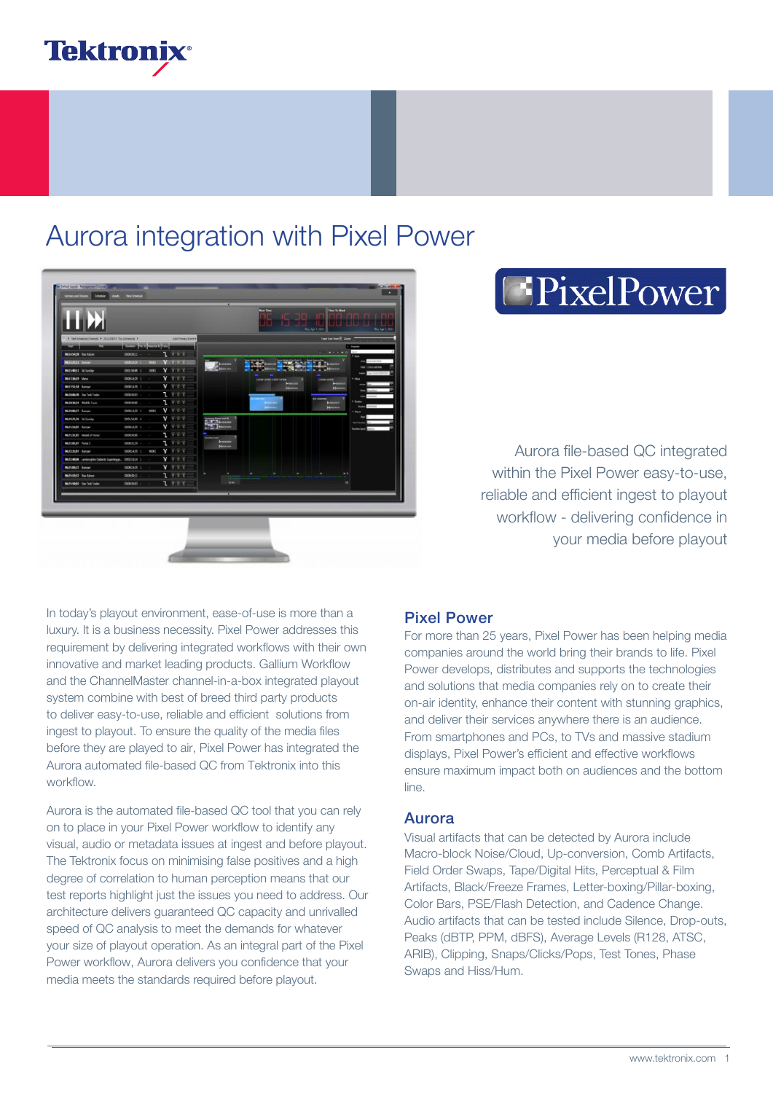

## Aurora integration with Pixel Power



# **EPixelPower**

Aurora file-based QC integrated within the Pixel Power easy-to-use, reliable and efficient ingest to playout workflow - delivering confidence in your media before playout

In today's playout environment, ease-of-use is more than a luxury. It is a business necessity. Pixel Power addresses this requirement by delivering integrated workflows with their own innovative and market leading products. Gallium Workflow and the ChannelMaster channel-in-a-box integrated playout system combine with best of breed third party products to deliver easy-to-use, reliable and efficient solutions from ingest to playout. To ensure the quality of the media files before they are played to air, Pixel Power has integrated the Aurora automated file-based QC from Tektronix into this workflow.

Aurora is the automated file-based QC tool that you can rely on to place in your Pixel Power workflow to identify any visual, audio or metadata issues at ingest and before playout. The Tektronix focus on minimising false positives and a high degree of correlation to human perception means that our test reports highlight just the issues you need to address. Our architecture delivers guaranteed QC capacity and unrivalled speed of QC analysis to meet the demands for whatever your size of playout operation. As an integral part of the Pixel Power workflow, Aurora delivers you confidence that your media meets the standards required before playout.

### Pixel Power

For more than 25 years, Pixel Power has been helping media companies around the world bring their brands to life. Pixel Power develops, distributes and supports the technologies and solutions that media companies rely on to create their on-air identity, enhance their content with stunning graphics, and deliver their services anywhere there is an audience. From smartphones and PCs, to TVs and massive stadium displays, Pixel Power's efficient and effective workflows ensure maximum impact both on audiences and the bottom line.

### Aurora

Visual artifacts that can be detected by Aurora include Macro-block Noise/Cloud, Up-conversion, Comb Artifacts, Field Order Swaps, Tape/Digital Hits, Perceptual & Film Artifacts, Black/Freeze Frames, Letter-boxing/Pillar-boxing, Color Bars, PSE/Flash Detection, and Cadence Change. Audio artifacts that can be tested include Silence, Drop-outs, Peaks (dBTP, PPM, dBFS), Average Levels (R128, ATSC, ARIB), Clipping, Snaps/Clicks/Pops, Test Tones, Phase Swaps and Hiss/Hum.